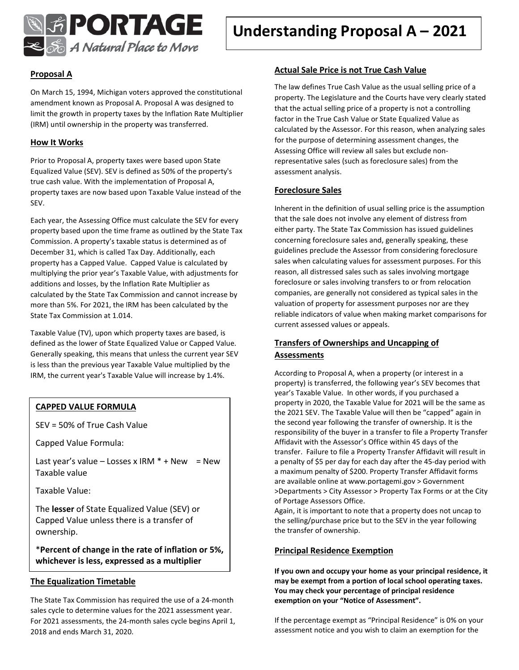

# **Proposal A**

On March 15, 1994, Michigan voters approved the constitutional amendment known as Proposal A. Proposal A was designed to limit the growth in property taxes by the Inflation Rate Multiplier (IRM) until ownership in the property was transferred.

## **How It Works**

Prior to Proposal A, property taxes were based upon State Equalized Value (SEV). SEV is defined as 50% of the property's true cash value. With the implementation of Proposal A, property taxes are now based upon Taxable Value instead of the SEV.

Each year, the Assessing Office must calculate the SEV for every property based upon the time frame as outlined by the State Tax Commission. A property's taxable status is determined as of December 31, which is called Tax Day. Additionally, each property has a Capped Value. Capped Value is calculated by multiplying the prior year's Taxable Value, with adjustments for additions and losses, by the Inflation Rate Multiplier as calculated by the State Tax Commission and cannot increase by more than 5%. For 2021, the IRM has been calculated by the State Tax Commission at 1.014.

Taxable Value (TV), upon which property taxes are based, is defined as the lower of State Equalized Value or Capped Value. Generally speaking, this means that unless the current year SEV is less than the previous year Taxable Value multiplied by the IRM, the current year's Taxable Value will increase by 1.4%.

# **CAPPED VALUE FORMULA**

SEV = 50% of True Cash Value

Capped Value Formula:

Last year's value – Losses x IRM  $*$  + New = New Taxable value

Taxable Value:

The **lesser** of State Equalized Value (SEV) or Capped Value unless there is a transfer of ownership.

\***Percent of change in the rate of inflation or 5%, whichever is less, expressed as a multiplier**

## **The Equalization Timetable**

The State Tax Commission has required the use of a 24-month sales cycle to determine values for the 2021 assessment year. For 2021 assessments, the 24-month sales cycle begins April 1, 2018 and ends March 31, 2020.

## **Actual Sale Price is not True Cash Value**

The law defines True Cash Value as the usual selling price of a property. The Legislature and the Courts have very clearly stated that the actual selling price of a property is not a controlling factor in the True Cash Value or State Equalized Value as calculated by the Assessor. For this reason, when analyzing sales for the purpose of determining assessment changes, the Assessing Office will review all sales but exclude nonrepresentative sales (such as foreclosure sales) from the assessment analysis.

#### **Foreclosure Sales**

Inherent in the definition of usual selling price is the assumption that the sale does not involve any element of distress from either party. The State Tax Commission has issued guidelines concerning foreclosure sales and, generally speaking, these guidelines preclude the Assessor from considering foreclosure sales when calculating values for assessment purposes. For this reason, all distressed sales such as sales involving mortgage foreclosure or sales involving transfers to or from relocation companies, are generally not considered as typical sales in the valuation of property for assessment purposes nor are they reliable indicators of value when making market comparisons for current assessed values or appeals.

# **Transfers of Ownerships and Uncapping of Assessments**

According to Proposal A, when a property (or interest in a property) is transferred, the following year's SEV becomes that year's Taxable Value. In other words, if you purchased a property in 2020, the Taxable Value for 2021 will be the same as the 2021 SEV. The Taxable Value will then be "capped" again in the second year following the transfer of ownership. It is the responsibility of the buyer in a transfer to file a Property Transfer Affidavit with the Assessor's Office within 45 days of the transfer. Failure to file a Property Transfer Affidavit will result in a penalty of \$5 per day for each day after the 45-day period with a maximum penalty of \$200. Property Transfer Affidavit forms are available online at www.portagemi.gov > Government >Departments > City Assessor > Property Tax Forms or at the City of Portage Assessors Office.

Again, it is important to note that a property does not uncap to the selling/purchase price but to the SEV in the year following the transfer of ownership.

## **Principal Residence Exemption**

**If you own and occupy your home as your principal residence, it may be exempt from a portion of local school operating taxes. You may check your percentage of principal residence exemption on your "Notice of Assessment".**

If the percentage exempt as "Principal Residence" is 0% on your assessment notice and you wish to claim an exemption for the